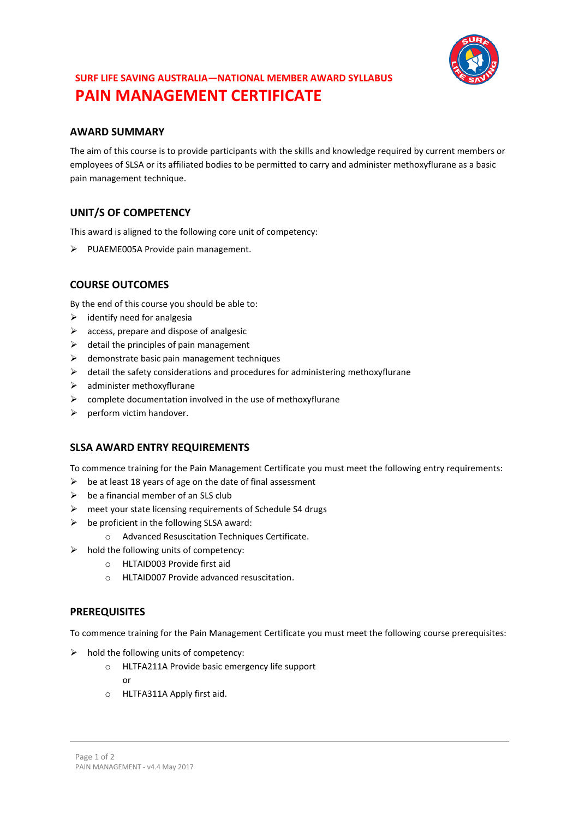

# **SURF LIFE SAVING AUSTRALIA—NATIONAL MEMBER AWARD SYLLABUS PAIN MANAGEMENT CERTIFICATE**

# **AWARD SUMMARY**

The aim of this course is to provide participants with the skills and knowledge required by current members or employees of SLSA or its affiliated bodies to be permitted to carry and administer methoxyflurane as a basic pain management technique.

# **UNIT/S OF COMPETENCY**

This award is aligned to the following core unit of competency:

➢ PUAEME005A Provide pain management.

# **COURSE OUTCOMES**

By the end of this course you should be able to:

- $\triangleright$  identify need for analgesia
- $\triangleright$  access, prepare and dispose of analgesic
- $\triangleright$  detail the principles of pain management
- $\triangleright$  demonstrate basic pain management techniques
- ➢ detail the safety considerations and procedures for administering methoxyflurane
- $\triangleright$  administer methoxyflurane
- $\triangleright$  complete documentation involved in the use of methoxyflurane
- ➢ perform victim handover.

## **SLSA AWARD ENTRY REQUIREMENTS**

To commence training for the Pain Management Certificate you must meet the following entry requirements:

- $\triangleright$  be at least 18 years of age on the date of final assessment
- $\triangleright$  be a financial member of an SLS club
- ➢ meet your state licensing requirements of Schedule S4 drugs
- $\triangleright$  be proficient in the following SLSA award:
	- o Advanced Resuscitation Techniques Certificate.
- $\triangleright$  hold the following units of competency:
	- o HLTAID003 Provide first aid
	- o HLTAID007 Provide advanced resuscitation.

#### **PREREQUISITES**

To commence training for the Pain Management Certificate you must meet the following course prerequisites:

- $\triangleright$  hold the following units of competency:
	- o HLTFA211A Provide basic emergency life support
		- or
	- o HLTFA311A Apply first aid.